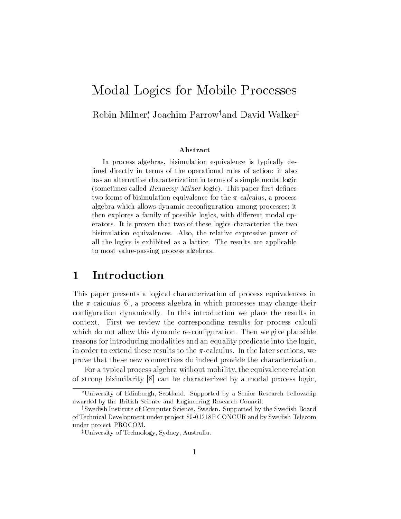# Modal Logics for Mobile Processes

### Robin Milner Joachim Parrowyand David Walkerz

#### Abstract

In process algebras, bisimulation equivalence is typically de--ned directly in terms of the operational rules of action it also has an alternative characterization in terms of a simple modal logic (sometimes called *Hennessy-Millier logic)*. This paper mist defines two forms of bisimulation equivalence for the  $\pi$ -calculus, a process algebra which allows dynamic recon-guration among processes it then explores a family of possible logics, with different modal operators It is proven that two of these logics characterize the two bisimulation equivalences. Also, the relative expressive power of all the logics is exhibited as a lattice The results are applicable to most value-passing process algebras.

## Introduction

This paper presents a logical characterization of process equivalences in the calculus of a process and care in mitting processes into the three than  $\sim$ configuration dynamically. In this introduction we place the results in context First we review the corresponding results for process calculi which do not allow this dynamic re-configuration. Then we give plausible reasons for introducing modalities and an equality predicate into the logic in order to extend these results to the  $\pi$ -calculus. In the later sections, we prove that these new connectives do indeed provide the characterization

For a typical process algebra without mobility the equivalence relation of strong bisimilarity - can be characterized by a model process logic by a model process logical process logic

<sup>\*</sup>University of Edinburgh, Scotland. Supported by a Senior Research Fellowship awarded by the British Science and Engineering Research Council

<sup>&</sup>lt;sup>†</sup>Swedish Institute of Computer Science, Sweden. Supported by the Swedish Board of the concept of the project -  $\alpha$  -  $\beta$  -  $\beta$  -  $\beta$  -  $\beta$  -  $\beta$  -  $\beta$  -  $\beta$  -  $\beta$  -  $\beta$  -  $\beta$  -  $\beta$  -  $\beta$  -  $\beta$  -  $\beta$  -  $\beta$  -  $\beta$  -  $\beta$  -  $\beta$  -  $\beta$  -  $\beta$  -  $\beta$  -  $\beta$  -  $\beta$  -  $\beta$  -  $\beta$  -  $\beta$  under project PROCOM

<sup>&</sup>lt;sup>‡</sup>University of Technology, Sydney, Australia.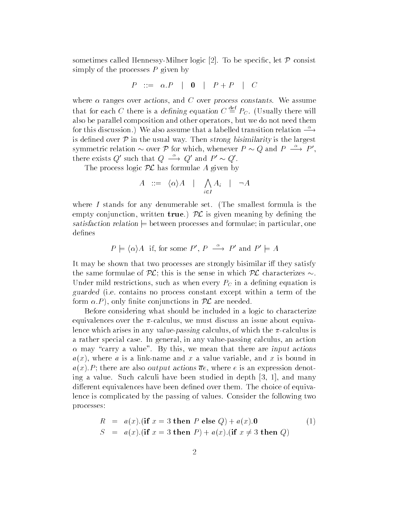sometimes called Hennessy Divisions in Alt I at the special let I consist the special simply of the processes  $P$  given by

$$
P \ ::= \ \alpha.P \ \ | \ \ \mathbf{0} \ \ | \ \ P + P \ \ | \ \ C
$$

where  $\alpha$  ranges over actions, and C over process constants. We assume that for each C there is a defining equation  $C \stackrel{\text{def}}{=} P_C$ . (Usually there will also be parallel composition and other operators but we do not need them for this discussion.) We also assume that a labelled transition relation  $\stackrel{\alpha}{\longrightarrow}$ is defined over  $P$  in the usual way. Then strong bisimilarity is the largest symmetric relation  $\sim$  over P for which, whenever  $P \sim Q$  and  $P \rightarrow P'$ , there exists Q' such that  $Q \longrightarrow Q'$  and  $P' \sim Q'$ .

The process logic  $\mathcal{PL}$  has formulae A given by

$$
A \ ::= \ \langle \alpha \rangle A \quad | \quad \bigwedge_{i \in I} A_i \quad | \quad \neg A
$$

where  $I$  stands for any denumerable set. (The smallest formula is the empty conjunction, written true.)  $\mathcal{PL}$  is given meaning by defining the  $s$ atisfaction relation  $\mapsto$  between processes and formulae, in particular, one defines

$$
P \models \langle \alpha \rangle A
$$
 if, for some P',  $P \xrightarrow{\alpha} P'$  and  $P' \models A$ 

It may be shown that two processes are strongly bisimilar iff they satisfy the same formulae of  $P$  this is the sense in which  $P$ Under mild restrictions, such as when every  $P<sub>C</sub>$  in a defining equation is guarded the contains no process constant except within a term of the model form -P only nite conjunctions in PL are needed

Before considering what should be included in a logic to characterize equivalences over the  $\pi$ -calculus, we must discuss an issue about equivalence which arises in any value-passing calculus, of which the  $\pi$ -calculus is a rather special case. In general, in any value-passing calculus, an action  $\alpha$  may "carry a value". By this, we mean that there are input actions  $a(x)$ , where a is a link-name and x a value variable, and x is bound in  $a(x)$ . There are also output actions  $ac$  , where  $c$  is an expression denot ing a value Such calculi have been studied in depth - and many different equivalences have been defined over them. The choice of equivalence is complicated by the passing of values. Consider the following two processes

$$
R = a(x).(\text{if } x = 3 \text{ then } P \text{ else } Q) + a(x).0
$$
  
\n
$$
S = a(x).(\text{if } x = 3 \text{ then } P) + a(x).(\text{if } x \neq 3 \text{ then } Q)
$$
\n(1)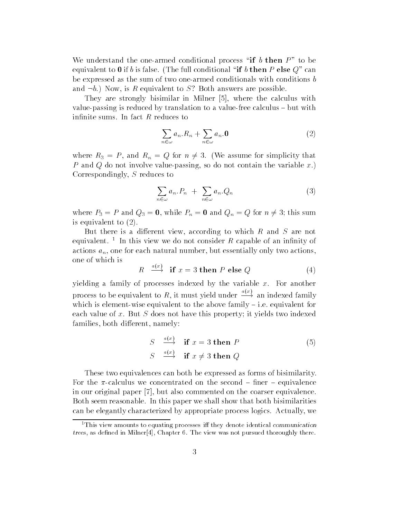We understand the one-armed conditional process "if b then  $P$ " to be equivalent to 0 if b is false. (The full conditional "if b then P else  $Q^r$  can be expressed as the sum of two one-armed conditionals with conditions  $b$ and  $\neg b$ .) Now, is R equivalent to S? Both answers are possible

They are strongly stringer in Million of Strong calculus with the calculus with value-passing is reduced by translation to a value-free calculus  $-$  but with infinite sums. In fact  $R$  reduces to

$$
\sum_{n \in \omega} a_n . R_n + \sum_{n \in \omega} a_n . \mathbf{0} \tag{2}
$$

where  $R_3 = P$ , and  $R_n = Q$  for  $n \neq 3$ . (We assume for simplicity that P and Q do not involve value passing, so do not contain the variable  $x$ . Correspondingly, S reduces to

$$
\sum_{n \in \omega} a_n P_n + \sum_{n \in \omega} a_n Q_n \tag{3}
$$

where  $P_3 = P$  and  $Q_3 = 0$ , while  $P_n = 0$  and  $Q_n = Q$  for  $n \neq 3$ ; this sum is equivalent to  $(2)$ .

But there is a different view, according to which  $R$  and  $S$  are not equivalent. This view we do not consider  $R$  capable of an infinity of  $\blacksquare$ actions  $a_n$ , one for each natural number, but essentially only two actions, one of which is  $\ell_{m}$ 

$$
R \stackrel{a(x)}{\longrightarrow} \text{if } x = 3 \text{ then } P \text{ else } Q \tag{4}
$$

yielding a family of processes indexed by the variable  $x$ . For another process to be equivalent to R, it must yield under  $\frac{a}{x+2}$  an indexed family which is element-wise equivalent to the above family  $-$  i.e. equivalent for each value of x. But  $S$  does not have this property; it yields two indexed families, both different, namely:

$$
S \xrightarrow{a(x)} \text{if } x = 3 \text{ then } P
$$
  
\n
$$
S \xrightarrow{a(x)} \text{if } x \neq 3 \text{ then } Q
$$
\n(5)

These two equivalences can both be expressed as forms of bisimilarity For the  $\pi$ -calculus we concentrated on the second  $-$  finer  $-$  equivalence in and original paper of the comment commented on the coarser equivalence on Both seem reasonable In this paper we shall show that both bisimilarities can be elegantly characterized by appropriate process logics. Actually, we

<sup>&</sup>lt;sup>1</sup>This view amounts to equating processes iff they denote identical communication trees as decreased in Milner and the view was not the view was a pursued through the view of the view of the v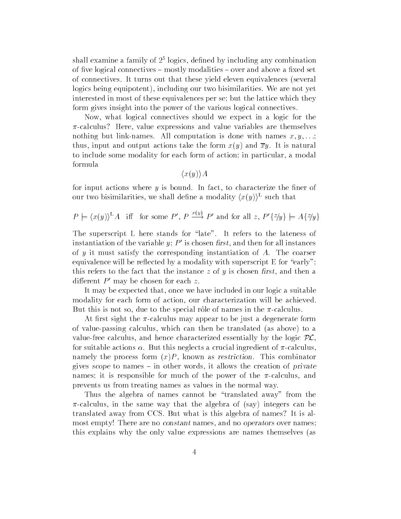shall examine a family of  $\varSigma^+$  logics, defined by including any combination of five logical connectives  $-$  mostly modalities  $-$  over and above a fixed set of connectives. It turns out that these yield eleven equivalences (several logics being equipotent), including our two bisimilarities. We are not yet interested in most of these equivalences per se; but the lattice which they form gives insight into the power of the various logical connectives

Now, what logical connectives should we expect in a logic for the  $\pi$ -calculus? Here, value expressions and value variables are themselves nothing but link-names. All computation is done with names  $x, y, \ldots$ ; thus, input and output actions take the form  $x(y)$  and  $\overline{xy}$ . It is natural to include some modality for each form of action; in particular, a modal formula

 $\langle x(y) \rangle A$ 

for input actions where  $y$  is bound. In fact, to characterize the finer of our two bisimilarities, we shall define a modality  $(x(y))^-$  such that

$$
P \models \langle x(y) \rangle^L A
$$
 iff for some P', P  $\xrightarrow{x(y)} P'$  and for all z, P' {z/y}  $\models A\{z/y\}$ 

The superscript L here stands for "late". It refers to the lateness of instantiation of the variable y;  $P'$  is chosen first, and then for all instances of  $y$  it must satisfy the corresponding instantiation of  $A$ . The coarser equivalence will be reflected by a modality with superscript  $E$  for "early"; this refers to the fact that the instance  $z$  of  $y$  is chosen first, and then a different  $P'$  may be chosen for each z.

It may be expected that, once we have included in our logic a suitable modality for each form of action, our characterization will be achieved. But this is not so, due to the special rôle of names in the  $\pi$ -calculus.

At first sight the  $\pi$ -calculus may appear to be just a degenerate form of value-passing calculus, which can then be translated (as above) to a value-free calculus, and hence characterized essentially by the logic  $PL$ . for suitable actions  $\alpha$ . But this neglects a crucial ingredient of  $\pi$ -calculus, namely the process form  $(x)P$ , known as restriction. This combinator gives scope to names  $-$  in other words, it allows the creation of *private* names; it is responsible for much of the power of the  $\pi$ -calculus, and prevents us from treating names as values in the normal way

Thus the algebra of names cannot be "translated away" from the  $\pi$ -calculus, in the same way that the algebra of (say) integers can be translated away from CCS. But what is this algebra of names? It is almost empty! There are no *constant* names, and no *operators* over names; this explains why the only value expressions are names themselves (as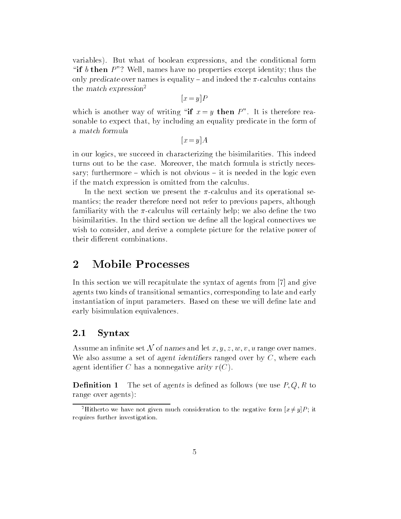variables). But what of boolean expressions, and the conditional form "if b then  $P$ "? Well, names have no properties except identity; thus the only predicate over names is equality – and indeed the  $\pi$ -calculus contains the match expression

$$
[x = y]P
$$

which is another way of writing "if  $x = y$  then P". It is therefore reasonable to expect that, by including an equality predicate in the form of a match formula

 $\mathbf{v}$  and  $\mathbf{v}$  and  $\mathbf{v}$  and  $\mathbf{v}$  and  $\mathbf{v}$  and  $\mathbf{v}$  and  $\mathbf{v}$  and  $\mathbf{v}$  and  $\mathbf{v}$  and  $\mathbf{v}$  and  $\mathbf{v}$  and  $\mathbf{v}$  and  $\mathbf{v}$  and  $\mathbf{v}$  and  $\mathbf{v}$  and  $\mathbf{v}$  and  $\mathbf{v}$  and

in our logics we succeed in characterizing the bisimilarities This indeed turns out to be the case Moreover the match formula is strictly neces sary; furthermore  $-$  which is not obvious  $-$  it is needed in the logic even if the match expression is omitted from the calculus

In the next section we present the  $\pi$ -calculus and its operational semantics; the reader therefore need not refer to previous papers, although familiarity with the  $\pi$ -calculus will certainly help; we also define the two bisimilarities In the third section we dene all the logical connectives we wish to consider, and derive a complete picture for the relative power of their different combinations.

#### $\overline{2}$ **Mobile Processes**

In this section we will recapitulate the syntax of agents from - and give agents two kinds of transitional semantics corresponding to late and early instantiation of input parameters. Based on these we will define late and early bisimulation equivalences

#### 2.1 Syntax

Assume an infinite set N of names and let  $x, y, z, w, v, u$  range over names. We also assume a set of agent identifiers ranged over by  $C$ , where each agent identifier C has a nonnegative arity  $r(C)$ .

Definition 1 The set of agents is defined as follows (we use  $P, Q, R$  to range over agents

<sup>-</sup>fitting to we have not given much consideration to the negative form  $|x \neq y|_{P}$ ; it requires further investigation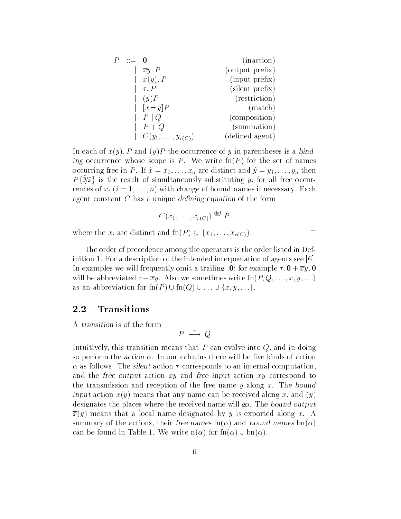|  |                          | (inaction)      |
|--|--------------------------|-----------------|
|  | $\overline{xy} \cdot P$  | (output prefix) |
|  | $x(y)$ . P               | (input prefix)  |
|  | $\tau$ . $P$             | (silent prefix) |
|  | (y)P                     | (restriction)   |
|  | $[x = y]P$               | (match)         |
|  | $P \mid Q$               | (composition)   |
|  | $P+Q$                    | (summation)     |
|  | $C(y_1,\ldots,y_{r(C)})$ | (defined agent) |

In each of w<sub>i</sub>y; I and iy; I are occurred of y in parentheses is a bind ing occurrence whose scope is P We write fn
P for the set of names occurring free in P. If  $\tilde{x} = x_1, \ldots, x_n$  are distinct and  $\tilde{y} = y_1, \ldots, y_n$  then  $P\{\hat{\theta}|\hat{x}\}\$  is the result of simultaneously substituting  $y_i$  for all free occurrences of  $x_i$   $(i = 1, \ldots, n)$  with change of bound names if necessary. Each agent constant  $C$  has a unique defining equation of the form

$$
C(x_1,\ldots,x_{r(C)})\stackrel{\text{def}}{=} P
$$

 $\Box$ 

where the xi are distinct and finds  $\mathcal{P} = \{x, 1\}$  ,  $\mathcal{P} = \{x, 1\}$ 

The order of precedence among the operators is the order listed in Def inition For a description of the intended interpretation of agents see - In examples we will find the state  $\mathcal{W}$  and  $\mathcal{W}$  are trailing -  $\mathcal{W}$  and  $\mathcal{W}$  are the state of  $\mathcal{W}$ will be abbreviated  $\tau + \overline{x}y$ . Also we sometimes write  $\text{fn}(P, Q, \ldots, x, y, \ldots)$ as an abbreviation for  $\text{fn}(P) \cup \text{fn}(Q) \cup \ldots \cup \{x, y, \ldots\}.$ 

### 2.2 Transitions

A transition is of the form

$$
P \stackrel{\alpha}{\longrightarrow} Q
$$

Intuitively, this transition means that  $P$  can evolve into  $Q$ , and in doing so perform the action  $\alpha$ . In our calculus there will be five kinds of action  $\alpha$  as follows. The silent action  $\tau$  corresponds to an internal computation. and the free output action  $\overline{xy}$  and free input action xy correspond to the transmission and reception of the free name  $y$  along  $x$ . The bound  $\cdots$  and  $\cdots$  and  $\cdots$  and  $\cdots$  and  $\cdots$  and  $\cdots$  and  $\cdots$  along  $\cdots$  and  $\cdots$  and  $\cdots$  and  $\cdots$ designates the places where the received name will go. The bound output  $\overline{x}(y)$  means that a local name designated by y is exported along x. A summary of the actions, their free names  $\text{fn}(\alpha)$  and bound names  $\text{bn}(\alpha)$ can be found in Table 1. We write  $n(\alpha)$  for  $fn(\alpha) \cup bn(\alpha)$ .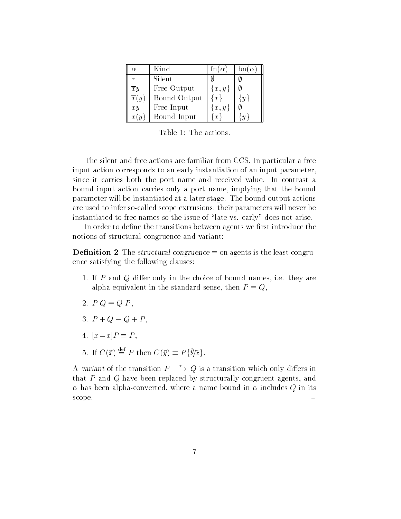| Ω.                                      | Kind         | $\ln(\alpha)$ | $bn(\alpha)$     |
|-----------------------------------------|--------------|---------------|------------------|
|                                         | Silent       |               |                  |
|                                         | Free Output  | $\{x,y\}$     |                  |
| $\frac{\overline{x}y}{\overline{x}(y)}$ | Bound Output | $\{x\}$       | $\boldsymbol{y}$ |
| xy                                      | Free Input   | $\{x,y\}$     |                  |
| x(y)                                    | Bound Input  | $\mathcal{X}$ | U                |

The silent and free actions are familiar from CCS In particular a free input action corresponds to an early instantiation of an input parameter since it carries both the port name and received value In contrast a bound input action carries only a port name, implying that the bound parameter will be instantiated at a later stage The bound output actions are used to infer so-called scope extrusions; their parameters will never be instantiated to free names so the issue of "late vs. early" does not arise.

In order to define the transitions between agents we first introduce the notions of structural congruence and variant

**Definition 2** The structural congruence  $\equiv$  on agents is the least congruence satisfying the following clauses

- 1. If P and Q differ only in the choice of bound names, i.e. they are alpha-equivalent in the standard sense, then  $P \equiv Q$ ,
- 2.  $P|Q \equiv Q|P$ ,
- 3.  $P + Q \equiv Q + P$ .
- xx-P P
- 5. If  $C(\tilde{x}) \stackrel{\text{def}}{=} P$  then  $C(\tilde{y}) \equiv P\{\tilde{\mathcal{Y}}/\tilde{x}\}\$

A variant of the transition  $P \longrightarrow Q$  is a transition which only differs in that  $P$  and  $Q$  have been replaced by structurally congruent agents, and  $\alpha$  has been alpha-converted, where a name bound in  $\alpha$  includes Q in its scope and the contract of the contract of the contract of the contract of the contract of the contract of the contract of the contract of the contract of the contract of the contract of the contract of the contract of the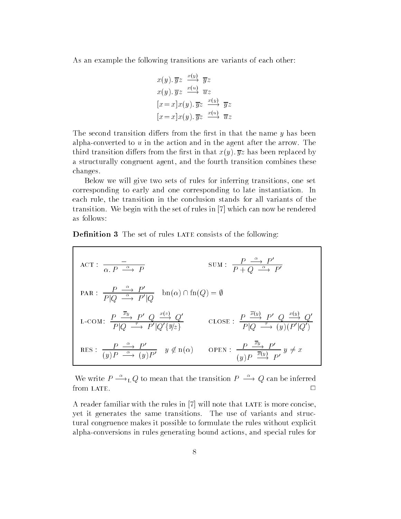As an example the following transitions are variants of each other

$$
x(y). \overline{y}z \xrightarrow{x(y)} \overline{y}z
$$
  
\n
$$
x(y). \overline{y}z \xrightarrow{x(u)} \overline{u}z
$$
  
\n
$$
[x=x]x(y). \overline{y}z \xrightarrow{x(y)} \overline{y}z
$$
  
\n
$$
[x=x]x(y). \overline{y}z \xrightarrow{x(u)} \overline{u}z
$$

The second transition differs from the first in that the name  $y$  has been alpha converted to  $u$  in the action and in the agent after the arrow. The third transition diers from the replaced by the rate of the replaced by the replaced by the replaced by the replaced by the replaced by the replaced by the replaced by the replaced by the replaced by the replaced by the re a structurally congruent agent, and the fourth transition combines these changes

Below we will give two sets of rules for inferring transitions one set corresponding to early and one corresponding to late instantiation In each rule, the transition in the conclusion stands for all variants of the  $t$  . We begin with the set of rules in  $\mathbb{R}^n$ as follows

**Definition 3** The set of rules LATE consists of the following:

ACT: 
$$
\frac{\overline{P} \xrightarrow{\alpha} P'}{\alpha \cdot P \xrightarrow{\alpha} P}
$$
 SUM:  $\frac{P \xrightarrow{\alpha} P'}{P + Q \xrightarrow{\alpha} P'}$   
\nPAR:  $\frac{P \xrightarrow{\alpha} P'}{P | Q \xrightarrow{\alpha} P' | Q}$  bn( $\alpha$ )  $\cap$  fn( $Q$ ) =  $\emptyset$   
\nL-COM:  $\frac{P \xrightarrow{\overline{x}y} P' \ Q \xrightarrow{\overline{x}(z)} Q'}{P | Q \xrightarrow{\overline{P} P' | Q' \{y/z\}}$  CLOSE:  $\frac{P \xrightarrow{\overline{x}(y)} P' \ Q \xrightarrow{\overline{x}(y)} Q'}{P | Q \xrightarrow{\overline{P} \{Q' \}} (y) (P' | Q')}$   
\nRES:  $\frac{P \xrightarrow{\alpha} P'}{(y) P \xrightarrow{\alpha} (y) P'} y \notin n(\alpha)$  OPEN:  $\frac{P \xrightarrow{\overline{x}y} P'}{(y) P \xrightarrow{\overline{x}(y)} P'} y \neq x$ 

We write  $P \longrightarrow_L Q$  to mean that the transition  $P \longrightarrow Q$  can be inferred from LATE.  $\Box$ 

A reader familiar with the rules in - will note that late is more concise yet it generates the same transitions The use of variants and struc tural congruence makes it possible to formulate the rules without explicit alpha conversions in rules generating bound actions, and special rules for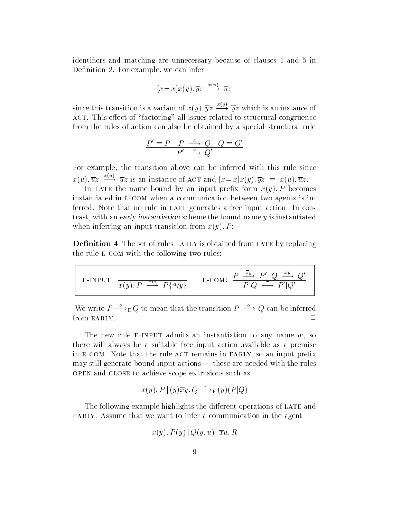identifiers and matching are unnecessary because of clauses 4 and 5 in Definition 2. For example, we can infer

$$
[x = x]x(y). \overline{y}z \xrightarrow{x(u)} \overline{u}z
$$

since this transition is a variant of  $x(y)$ .  $\overline{y}z \xrightarrow{y} \overline{y}z$  which is an instance of ACT. This effect of "factoring" all issues related to structural congruence from the rules of action can also be obtained by a special structural rule

$$
\frac{P' \equiv P \quad P \quad \xrightarrow{\alpha} \quad Q \quad Q \equiv Q'}{P' \quad \xrightarrow{\alpha} \quad Q'}
$$

For example, the transition above can be inferred with this rule since  $x(u)$ .  $\overline{u}z \longrightarrow \overline{u}z$  is an instance of ACT and  $|x=x|x(y)|$ .  $\overline{y}z \equiv x(u)$ .  $\overline{u}z$ .

In late the name bound by an input prex form x
y- P becomes instantiated in L-COM when a communication between two agents is inferred. Note that no rule in LATE generates a free input action. In contrast, with an early instantiation scheme the bound name  $y$  is instantiated when inferring an input transition from x
y- P

**Definition 4** The set of rules EARLY is obtained from LATE by replacing the rule L-COM with the following two rules:

E-INPUT: 
$$
\frac{1}{x(y). P \xrightarrow{xw} P\{w/y\}}
$$
 E-COM:  $\frac{P \xrightarrow{\overline{x}y} P' Q \xrightarrow{xy} Q'}{P|Q \xrightarrow{\tau} P'|Q'}$ 

We write  $P \longrightarrow_{\mathbb{E}} Q$  to mean that the transition  $P \longrightarrow Q$  can be inferred

The new rule E-INPUT admits an instantiation to any name  $w$ , so there will always be a suitable free input action available as a premise in E-COM. Note that the rule ACT remains in EARLY, so an input prefix may still generate bound input actions  $-$  these are needed with the rules open and close to achieve scope extrusions such as

$$
x(y)
$$
.  $P|(y)\overline{x}y$ .  $Q \longrightarrow_E(y)(P|Q)$ 

The following example highlights the different operations of LATE and EARLY. Assume that we want to infer a communication in the agent

$$
x(y)
$$
.  $P(y) | Q(y, u) | \overline{x}u$ . R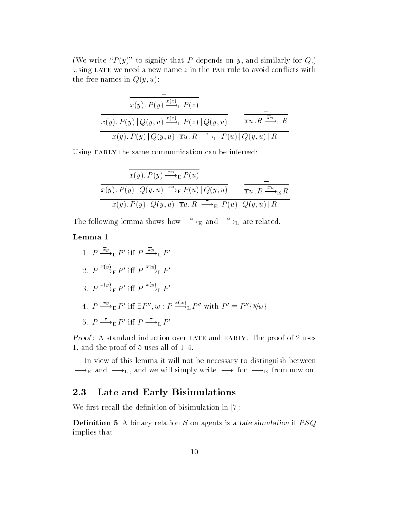(We write " $P(y)$ " to signify that P depends on y, and similarly for Q.) Using LATE we need a new name  $z$  in the PAR rule to avoid conflicts with the free names in  $Q(y, u)$ :

$$
\frac{\overline{x(y). P(y) \xrightarrow{x(z)} \Gamma P(z)}}{x(y). P(y) |Q(y, u) \xrightarrow{x(z)} \Gamma P(z) |Q(y, u)} \frac{-}{\overline{xu}. R \xrightarrow{\overline{xu}} \Gamma R}
$$
\n
$$
x(y). P(y) |Q(y, u)| \overline{xu}. R \xrightarrow{\tau} \Gamma P(u) |Q(y, u)| R
$$

Using EARLY the same communication can be inferred:

$$
\frac{\overline{x(y). P(y) \xrightarrow{xu} \mathbb{E} P(u)}}{x(y). P(y) | Q(y, u) \xrightarrow{xu} \mathbb{E} P(u) | Q(y, u)} \qquad \frac{-}{\overline{xu}. R \xrightarrow{\overline{xu}} \mathbb{E} R}
$$
\n
$$
x(y). P(y) | Q(y, u) | \overline{xu}. R \xrightarrow{\tau} \mathbb{E} P(u) | Q(y, u) | R
$$

The following lemma shows how  $\stackrel{\alpha}{\longrightarrow}_E$  and  $\stackrel{\alpha}{\longrightarrow}_L$  are related.

#### Lemma 1

1.  $P \xrightarrow{\sim} E P'$  iff  $P \xrightarrow{\sim} L P'$ 2.  $P \xrightarrow{\sim} E P'$  iff  $P \xrightarrow{\sim} L P'$ 3.  $P \xrightarrow{\sim} {}_{E} P'$  iff  $P \xrightarrow{\sim} {}_{L} P'$ 4.  $P \stackrel{w}{\longrightarrow}_E P'$  iff  $\exists P'', w : P \stackrel{\sim}{\longrightarrow}_L P''$  with  $P' \equiv P'' \{y/w\}$ 5.  $P \longrightarrow_{\mathbb{E}} P'$  iff  $P \longrightarrow_{\mathbb{L}} P'$ 

recent in statistical induction over himself when himself ring proof of  $\blacksquare$  and 1, and the proof of  $5$  uses all of  $1-4$ .  $\Box$ 

In view of this lemma it will not be necessary to distinguish between  $\longrightarrow_E$  and  $\longrightarrow_L$ , and we will simply write  $\longrightarrow$  for  $\longrightarrow_E$  from now on.

### 2.3 Late and Early Bisimulations

We rst recall the denition of bisimulation in -

**Definition 5** A binary relation S on agents is a late simulation if  $PSQ$ implies that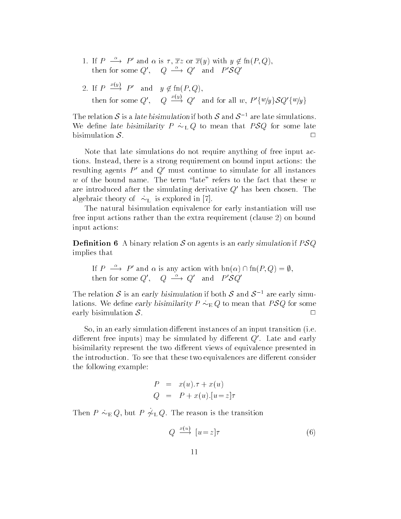1. If  $P \longrightarrow P'$  and  $\alpha$  is  $\tau, \overline{x}z$  or  $\overline{x}(y)$  with  $y \notin \text{fn}(P, Q)$ , then for some  $Q'$ ,  $Q \stackrel{\alpha}{\longrightarrow} Q'$  and  $P' \mathcal{S} Q'$ 

2. If 
$$
P \xrightarrow{x(y)} P'
$$
 and  $y \notin \text{fn}(P, Q)$ ,  
then for some  $Q'$ ,  $Q \xrightarrow{x(y)} Q'$  and for all  $w, P'\{w/y\}SQ'\{w/y\}$ 

The relation  $S$  is a late disimulation if both  $S$  and  $S^{-1}$  are late simulations. We define late bisimilarity  $P \geq Q$  to mean that  $P \cup Q$  for some late bisimulation  $S$ .  $\Box$ 

Note that late simulations do not require anything of free input ac there is a strong requirement on bound input actions in bound input actions  $\mathbf{f}$ resulting agents  $P'$  and  $Q'$  must continue to simulate for all instances  $w$  of the bound name. The term "late" refers to the fact that these  $w$ are introduced after the simulating derivative  $Q'$  has been chosen. The algebraic theory of - L is explored in -

The natural bisimulation equivalence for early instantiation will use free input actions rather than the extra requirement (clause  $2$ ) on bound input actions

**Definition 6** A binary relation S on agents is an early simulation if  $PSQ$ implies that

If 
$$
P \xrightarrow{\alpha} P'
$$
 and  $\alpha$  is any action with  $bn(\alpha) \cap fn(P, Q) = \emptyset$ ,  
then for some  $Q'$ ,  $Q \xrightarrow{\alpha} Q'$  and  $P'SQ'$ 

The relation  $S$  is an early bisimulation if both  $S$  and  $S$  - are early simul- $\alpha$  and  $\alpha$  are the early bisimilarity  $P \rightarrow E Q$  to mean that  $P \cup Q$  for some early bisimulation  $S$ .  $\Box$ 

So, in an early simulation different instances of an input transition (i.e. different free inputs) may be simulated by different  $Q'$ . Late and early bisimilarity represent the two different views of equivalence presented in the introduction. To see that these two equivalences are different consider the following example

$$
P = x(u) \cdot \tau + x(u)
$$
  

$$
Q = P + x(u) \cdot [u = z] \tau
$$

Then  $I \rightarrow E \otimes I$ , but  $I \not\sim L \otimes I$ . The reason is the transition

$$
Q \xrightarrow{x(u)} [u=z]\tau \tag{6}
$$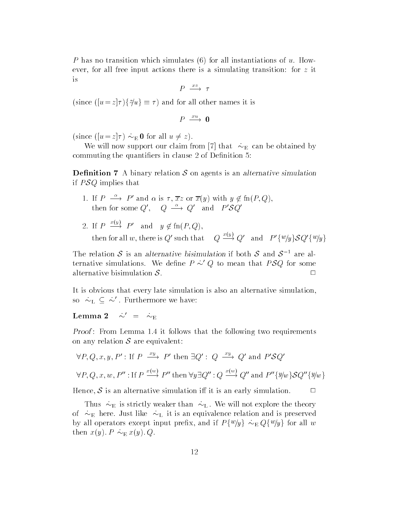P has no transition which simulates (6) for all instantiations of  $u$ . However for all free in the simulations there is a simulation of transition of the simulation of  $\alpha$ is

$$
P \xrightarrow{xz} \tau
$$

(since  $(|a-z|/|1|)$  of  $z = 1/|a|$  and for an other names it is

$$
P \ \stackrel{xu}{\longrightarrow} \ \mathbf{0}
$$

since the since  $\mathbf{u}$  is the since  $\mathbf{u}$  and  $\mathbf{v}$ 

will now support our claim from  $\mathbb{R}^n$  that  $\mathbb{R}^n$  is the obtained by obtained by obtained by  $\mathbb{R}^n$ commuting the quantifiers in clause  $2$  of Definition  $5$ :

**Definition 7** A binary relation  $S$  on agents is an alternative simulation if  $PSQ$  implies that

- 1. If  $P \longrightarrow P'$  and  $\alpha$  is  $\tau, \overline{x}z$  or  $\overline{x}(y)$  with  $y \notin \text{fn}(P, Q)$ , then for some  $Q'$ ,  $Q \stackrel{\alpha}{\longrightarrow} Q'$  and  $P'SQ'$
- 2. If  $P \stackrel{\sim}{\longrightarrow} P'$  and  $y \notin \text{fn}(P,Q)$ , then for all w, there is Q' such that  $Q \stackrel{\sim}{\longrightarrow} Q'$  and  $P' \{w/y\} \{SQ'\{w/y\}$

The relation  $S$  is an alternative bisimulation if both  $S$  and  $S$  - are alternative simulations. We define  $P \sim Q$  to mean that  $P \delta Q$  for some alternative bisimulation  $S$ .  $\Box$ 

It is obvious that every late simulation is also an alternative simulation so  $\sim_{\mathrm{L}}\ \subseteq\ \sim$  . Furthermore we have:

Lemma 2  $\sim$   $=$   $\sim$  E

recent requirements in the follows that the following two requirements on any relation  $S$  are equivalent:

$$
\forall P, Q, x, y, P': \text{If } P \xrightarrow{xy} P' \text{ then } \exists Q': Q \xrightarrow{xy} Q' \text{ and } P'SQ'
$$

$$
\forall P, Q, x, w, P''': \text{If } P \xrightarrow{x(w)} P'' \text{ then } \forall y \exists Q''': Q \xrightarrow{x(w)} Q'' \text{ and } P''\{\exists y/w\}SQ''\{\exists y/w\}
$$

Hence,  $S$  is an alternative simulation iff it is an early simulation.  $\Box$ 

Thus - It strictly weaker than - It will not explore that the theory of - L it is an equivalence - L it is an extra difference relation and in preserved in by an operators except input prenx, and if  $T \rightarrow \gamma g$  ( $\gamma \approx E Q$ )  $\gamma g$  from an w  $\mathbf{r}$  . Then  $\mathbf{r}$  and  $\mathbf{r}$  and  $\mathbf{r}$  and  $\mathbf{r}$  and  $\mathbf{r}$  and  $\mathbf{r}$  and  $\mathbf{r}$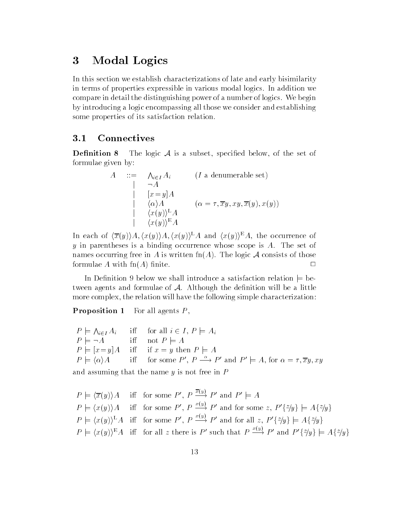#### 3 Modal Logics

In this section we establish characterizations of late and early bisimilarity in terms of properties expressible in various modal logics In addition we compare in detail the distinguishing power of a number of logics. We begin by introducing a logic encompassing all those we consider and establishing some properties of its satisfaction relation

#### 3.1 **Connectives**

**Definition 8** The logic  $A$  is a subset, specified below, of the set of formulae given by

$$
A ::= \Lambda_{i \in I} A_i \qquad (I \text{ a denumerable set})
$$
  
\n
$$
\begin{array}{ccc}\n| & \neg A \\
[x = y]A \\
\langle \alpha \rangle A & (\alpha = \tau, \overline{x}y, xy, \overline{x}(y), x(y)) \\
\langle x(y) \rangle^{\mathcal{L}} A \\
\langle x(y) \rangle^{\mathcal{E}} A\n\end{array}
$$

In each of  $\langle \overline{x}(y) \rangle A, \langle x(y) \rangle^L A$  and  $\langle x(y) \rangle^E A$ , the occurrence of y in parentheses is a binding occurrence whose scope is  $A$ . The set of names occurring free in A is written  $\text{fn}(A)$ . The logic A consists of those formulae A with  $\text{fn}(A)$  finite  $\Box$ 

In Definition 9 below we shall introduce a satisfaction relation  $\models$  between agents and formulae of  $A$ . Although the definition will be a little more complex, the relation will have the following simple characterization:

Proposition - For all agents P

 $P \models \bigwedge_{i \in I} A_i$  $\iota \vdash I$  is an interesting  $\iota \subseteq \iota$  , and if  $\iota \in \iota$  if  $\iota \circ \iota$ P j a i not province a i not province a interest of the interest of the interest of the interest of the interest of the interest of the interest of the interest of the interest of the interest of the interest of the intere  $P \models [x = y]A$ iff if  $x = y$  then  $P \models A$  $P \models \langle \alpha \rangle A$  if for some P',  $P \rightarrow P'$  and  $P' \models A$ , for  $\alpha = \tau, \overline{x}y, xy$ 

and assuming that the name  $y$  is not free in  $P$ 

$$
P \models \langle \overline{x}(y) \rangle A \quad \text{iff} \quad \text{for some } P', \ P \xrightarrow{x(y)} P' \text{ and } P' \models A
$$
  
\n
$$
P \models \langle x(y) \rangle A \quad \text{iff} \quad \text{for some } P', \ P \xrightarrow{x(y)} P' \text{ and for some } z, \ P'\{z/y\} \models A\{z/y\}
$$
  
\n
$$
P \models \langle x(y) \rangle^{\mathbb{L}} A \quad \text{iff} \quad \text{for some } P', \ P \xrightarrow{x(y)} P' \text{ and for all } z, \ P'\{z/y\} \models A\{z/y\}
$$
  
\n
$$
P \models \langle x(y) \rangle^{\mathbb{E}} A \quad \text{iff} \quad \text{for all } z \text{ there is } P' \text{ such that } P \xrightarrow{x(y)} P' \text{ and } P'\{z/y\} \models A\{z/y\}
$$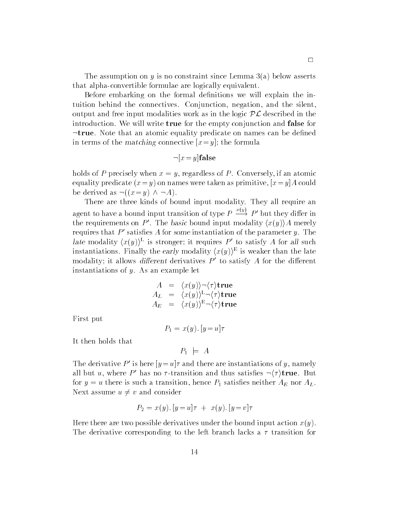The assumption on y is no constraint since Lemma  $3(a)$  below asserts that alpha-convertible formulae are logically equivalent.

Before embarking on the formal definitions we will explain the intuition behind the connectives. Conjunction, negation, and the silent. output and free input modalities work as in the logic  $PL$  described in the introduction We will write true for the empty conjunction and false for  $\neg$ true. Note that an atomic equality predicate on names can be defined in versity of the matching connective  $\omega$   $\mathbf{v}$  is the formulate

$$
\neg [x = y] \mathbf{false}
$$

holds of P precisely when  $x = y$ , regardless of P. Conversely, if an atomic equality predicate 
xy on names were taken as primitive xy-A could be derived as  $\neg((x=y) \land \neg A)$ .

There are three kinds of bound input modality. They all require an agent to have a bound input transition of type  $P \stackrel{\sim}{\longrightarrow} P'$  but they differ in the requirements on P'. The basic bound input modality  $\langle x(y) \rangle A$  merely requires that  $P'$  satisfies A for some instantiation of the parameter y. The late modality  $(x(y))^2$  is stronger; it requires P to satisfy A for all such instantiations. Finally the early modality  $(x(y))$  is weaker than the late modality; it allows different derivatives  $P$  to satisfy  $A$  for the different instantiations of  $y$ . As an example let

$$
A = \langle x(y) \rangle \neg \langle \tau \rangle \text{true}
$$
  
\n
$$
A_L = \langle x(y) \rangle^L \neg \langle \tau \rangle \text{true}
$$
  
\n
$$
A_E = \langle x(y) \rangle^E \neg \langle \tau \rangle \text{true}
$$

First put

 $\cdots$  y u-transformation  $\cdots$ 

It then holds that

$$
P_1 \models A
$$

The derivative P is nere  $|y=u|\tau$  and there are instantiations of y, namely all but u, where P' has no  $\tau$ -transition and thus satisfies  $\neg \langle \tau \rangle$ true. But for  $y = u$  there is such a transition, hence  $P_1$  satisfies neither  $A_E$  nor  $A_L$ . Next assume  $u \neq v$  and consider

$$
P_2 = x(y) \cdot [y = u]\tau + x(y) \cdot [y = v]\tau
$$

Here there are two possible derivatives under the bound input action  $x(y)$ . The derivative corresponding to the left branch lacks a  $\tau$  transition for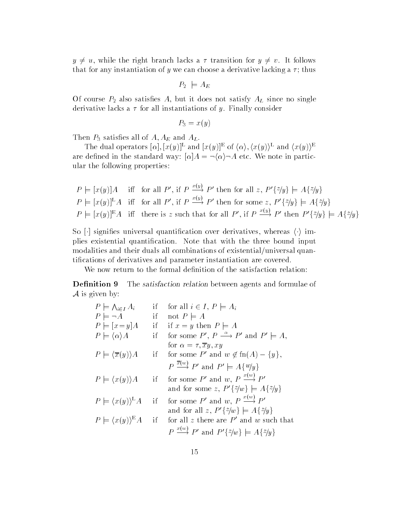$y \neq u$ , while the right branch lacks a  $\tau$  transition for  $y \neq v$ . It follows that for any instantiation of y we can choose a derivative lacking a  $\tau$ ; thus

 $P_2 \models A_E$ 

Of course  $P_2$  also satisfies A, but it does not satisfy  $A_L$  since no single derivative lacks a  $\tau$  for all instantiations of y. Finally consider

 $P_3 = x(y)$ 

Then  $P_3$  satisfies all of  $A, A_E$  and  $A_L$ .

The dual operators  $\alpha$ ,  $x(y)$   $\in$  and  $\alpha(y)$   $\in$   $\alpha$ ,  $\alpha(y)$ ,  $\alpha(y)$  and  $\alpha(y)$ are denoted in the standard way of the standard way  $\Lambda$  . A standard way note in particular, we note in particular, ular the following properties

$$
P \models [x(y)]A \text{ iff for all } P', \text{ if } P \xrightarrow{x(y)} P' \text{ then for all } z, P'\{z/y\} \models A\{z/y\}
$$
  

$$
P \models [x(y)]^{\text{L}}A \text{ iff for all } P', \text{ if } P \xrightarrow{x(y)} P' \text{ then for some } z, P'\{z/y\} \models A\{z/y\}
$$
  

$$
P \models [x(y)]^{\text{E}}A \text{ iff there is } z \text{ such that for all } P', \text{ if } P \xrightarrow{x(y)} P' \text{ then } P'\{z/y\} \models A\{z/y\}
$$

 $S = \pm 1$  , which are signification over derivatives whereas higher derivatives whereas higher derivatives whereas higher derivatives where  $\pm 1$ plies existential quantification. Note that with the three bound input modalities and their duals all combinations of existential/universal quantifications of derivatives and parameter instantiation are covered.

We now return to the formal definition of the satisfaction relation:

Definition 9 The satisfaction relation between agents and formulae of  $\mathcal A$  is given by:

| $P \models \bigwedge_{i \in I} A_i$             | if | for all $i \in I, P \models A_i$                                             |
|-------------------------------------------------|----|------------------------------------------------------------------------------|
| $P \models \neg A$                              | if | not $P \models A$                                                            |
| $P \models [x = y] A$                           | if | if $x = y$ then $P \models A$                                                |
| $P \models \langle \alpha \rangle A$            | if | for some P', $P \stackrel{\alpha}{\longrightarrow} P'$ and $P' \models A$ ,  |
|                                                 |    | for $\alpha = \tau, \overline{x}y, xy$                                       |
| $P = \langle \overline{x}(y) \rangle A$         | if | for some P' and $w \notin \text{fn}(A) - \{y\},\$                            |
|                                                 |    | $P \stackrel{\overline{x}(w)}{\longrightarrow} P'$ and $P' \models A\{w/y\}$ |
| $P \models \langle x(y) \rangle A$              |    | if for some P' and w, $P \stackrel{x(w)}{\longrightarrow} P'$                |
|                                                 |    | and for some z, $P'\{\tilde{z}/w\} \models A\{\tilde{z}/w\}$                 |
| $P \models \langle x(y) \rangle^{\mathsf{L}} A$ | if | for some $P'$ and w, $P \stackrel{x(w)}{\longrightarrow} P'$                 |
|                                                 |    | and for all z, $P'\{z/w\} \models A\{z/y\}$                                  |
| $P \models \langle x(y) \rangle^E A$            | if | for all z there are $P'$ and w such that                                     |
|                                                 |    | $P \stackrel{x(w)}{\longrightarrow} P'$ and $P'\{z/w\} \models A\{z/y\}$     |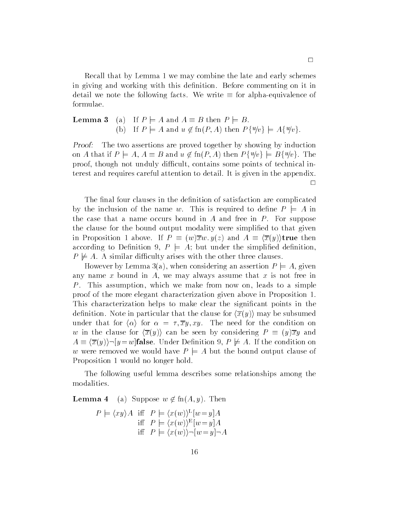Recall that by Lemma 1 we may combine the late and early schemes in giving and working with this definition. Before commenting on it in detail we note the following facts. We write  $\equiv$  for alpha-equivalence of formulae

**Lemma 3** (a) If 
$$
P \models A
$$
 and  $A \equiv B$  then  $P \models B$ .  
\n(b) If  $P \models A$  and  $u \notin \text{fn}(P, A)$  then  $P\{u/v\} \models A\{u/v\}$ .

Proof The two assertions are proved together by showing by induction on A that if  $P_{i+1}$ ,  $P_{i+1} = D$  and  $u \nsubseteq m(i+1)$  then  $I_{i+1}$   $v \in D_{i+1}$ proof, though not unduly difficult, contains some points of technical interest and requires careful attention to detail It is given in the appendix

The final four clauses in the definition of satisfaction are complicated by the inclusion of the name w. This is required to define  $P \models A$  in the case that a name occurs bound in A and free in  $P$ . For suppose the clause for the bound output modality were simplified to that given in Proposition and A  $\mu$  and  $\mu$  and  $\mu$  and  $\mu$ according to Definition 9,  $P \models A$ ; but under the simplified definition,  $P \not\models A$ . A similar difficulty arises with the other three clauses.

However by Lemma 3(a), when considering an assertion  $P \models A$ , given any name x bound in  $A$ , we may always assume that x is not free in P. This assumption, which we make from now on, leads to a simple proof of the more elegant characterization given above in Proposition This characterization helps to make clear the significant points in the definition. Note in particular that the clause for  $\langle \overline{x}(y) \rangle$  may be subsumed under that for  $\langle \alpha \rangle$  for  $\alpha = \tau, \overline{x}y, xy$ . The need for the condition on w in the clause for  $\langle \overline{x}(y) \rangle$  can be seen by considering  $P \equiv (y)\overline{x}y$  and a a graph is the condition of the condition of the condition on the condition on  $\mathcal{A}$ w were removed we would have  $P \models A$  but the bound output clause of Proposition 1 would no longer hold.

The following useful lemma describes some relationships among the modalities

Lemma a Suppose w fn
A y Then

$$
P \models \langle xy \rangle A \quad \text{iff} \quad P \models \langle x(w) \rangle^{\text{L}} [w = y] A
$$
  
iff 
$$
P \models \langle x(w) \rangle^{\text{E}} [w = y] A
$$
  
iff 
$$
P \models \langle x(w) \rangle \neg [w = y] \neg A
$$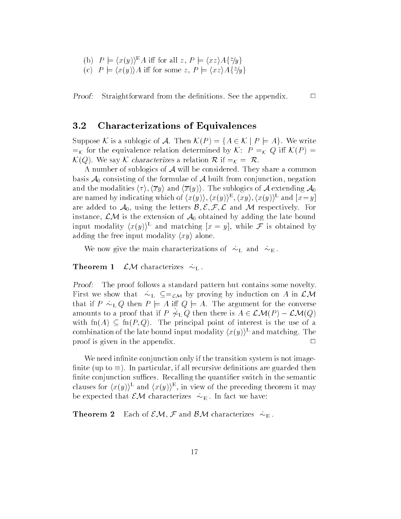- (b)  $P \models \langle x(y) \rangle^E A$  iff for all  $z, P \models \langle xz \rangle A \{z/y\}$
- (c)  $P \models \langle x(y) \rangle A$  iff for some z,  $P \models \langle xz \rangle A \{z/y\}$

ProofStraightforward from the definitions. See the appendix.  $\Box$ 

### Characterizations of Equivalences

suppose a substantial of A Theoryte A Theoryte (Company) is a substantial of the Magnetic order of the Magnetic K for the equivalence relation determined by <sup>K</sup> <sup>P</sup> K <sup>Q</sup> i K
P  $\mathcal{K}(Q)$ . We say K characterizes a relation R if  $\mathcal{K} = \mathcal{R}$ .

A number of sublogics of  $A$  will be considered. They share a common basis  $A_0$  consisting of the formulae of A built from conjunction, negation and the modalities  $\langle \tau \rangle$ ,  $\langle \overline{x}y \rangle$  and  $\langle \overline{x}(y) \rangle$ . The sublogics of A extending  $\mathcal{A}_0$ are named by indicating which of  $\langle x(y) \rangle$ ,  $\langle x(y) \rangle$ ,  $\langle xy \rangle$ ,  $\langle x(y) \rangle$  and  $\|x=y\|$ are added to  $A_0$ , using the letters  $\mathcal{B}, \mathcal{E}, \mathcal{F}, \mathcal{L}$  and M respectively. For instance,  $\mathcal{LM}$  is the extension of  $\mathcal{A}_0$  obtained by adding the late bound input modality  $(x(y))$  and matching  $x = y$ , while  $\mathcal F$  is obtained by adding the free input modality  $\langle xy \rangle$  alone.

we have give the main characterizations of - H and - H and -

Theorem - LM characterizes - L

Proof The proof follows a standard pattern but contains some novelty First we show that  $\mathcal{L} = \mathcal{L} \mathcal{L} \mathcal{N} \mathbf{I}$  induction on A induction on A in LM induction on A in LM in that if  $P$  is presented the converse for the argument for the converse for the converse  $\alpha$ amounts to a proof that if  $r \upharpoonright Q$  then there is  $A \in L$ *i* $\mathcal{U}(I) = L \mathcal{U}(Q)$ with  $\text{fn}(A) \subseteq \text{fn}(P,Q)$ . The principal point of interest is the use of a combination of the late bound input modality  $\langle x(y) \rangle^L$  and matching. The proof is given in the appendix  $\Box$ 

We need infinite conjunction only if the transition system is not imagefinite (up to  $\equiv$ ). In particular, if all recursive definitions are guarded then finite conjunction suffices. Recalling the quantifier switch in the semantic clauses for  $(x(y))$  and  $(x(y))$ , in view of the preceding theorem it may be expected that EM characterizes - E in fact we have the expected that EM characterizes - E in fact we have t

Theorem Each of Emily and BM characterizes - BM characterizes - BM characterizes - BM characterizes - BM characterizes - BM characterizes - BM characterizes - BM characterizes - BM characterizes - BM characterizes - BM cha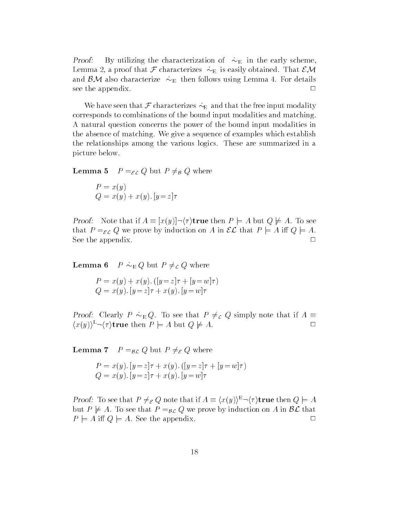Proof By utilizing the characterization of - E in the early scheme Lemma a proof that <sup>F</sup> characterizes - E is easily obtained That EM and  $\mathbf{v}$  , and characterize -  $\mathbf{E}$  also characterize in the follows using  $\mathbf{E}$ see the appendix.  $\Box$ 

we have seen that  $\mathbf{y}$  -characterizes -  $\mathbf{p}$  -characterizes the free input model  $\mathbf{y}$ corresponds to combinations of the bound input modalities and matching A natural question concerns the power of the bound input modalities in the absence of matching. We give a sequence of examples which establish the relationships among the various logics These are summarized in a picture below

**Lemma 5**  $P =_{\mathcal{EL}} Q$  but  $P \neq_{\mathcal{B}} Q$  where

$$
P = x(y)
$$
  
Q = x(y) + x(y). [y = z]τ

 $\mathbf{r}$  is a set that if  $\mathbf{r} = \left\{ \begin{matrix} w_{1}, y_{1}, \ldots, y_{n} \end{matrix} \right.$  is the set  $\left\{ \begin{matrix} y_{1}, y_{2}, \ldots, y_{n} \end{matrix} \right\}$ that  $P =_{\varepsilon} Q$  we prove by induction on A in  $\mathcal{EL}$  that  $P \models A$  iff  $Q \models A$ . See the appendix  $\Box$ 

Lemma P - E <sup>Q</sup> but <sup>P</sup> L <sup>Q</sup> where

 $\mathcal{X} \times \mathcal{Y}$  , and  $\mathcal{Y} \times \mathcal{Y}$  , and  $\mathcal{Y} \times \mathcal{Y}$  , and  $\mathcal{Y} \times \mathcal{Y}$  , and  $\mathcal{Y} \times \mathcal{Y}$  , and  $\mathcal{Y} \times \mathcal{Y}$  , and  $\mathcal{Y} \times \mathcal{Y}$  , and  $\mathcal{Y} \times \mathcal{Y}$  , and  $\mathcal{Y} \times \mathcal{Y}$  , and  $\mathcal{Y} \times \mathcal{Y$  $\mathbb{R}^n$  ,  $\mathbb{R}^n$  ,  $\mathbb{R}^n$  ,  $\mathbb{R}^n$  ,  $\mathbb{R}^n$  ,  $\mathbb{R}^n$  ,  $\mathbb{R}^n$  ,  $\mathbb{R}^n$  ,  $\mathbb{R}^n$  ,  $\mathbb{R}^n$  ,  $\mathbb{R}^n$  ,  $\mathbb{R}^n$  ,  $\mathbb{R}^n$  ,  $\mathbb{R}^n$  ,  $\mathbb{R}^n$  ,  $\mathbb{R}^n$  ,  $\mathbb{R}^n$  ,

 $P$  results  $P$  -  $P$   $\mathcal{P}$  . The see that  $P$  if  $P$  and  $P$  if  $P$  if  $P$  if  $P$  if  $P$  if  $P$  if  $P$  if  $P$  if  $P$  if  $P$  if  $P$  if  $P$  if  $P$  if  $P$  if  $P$  if  $P$  if  $P$  if  $P$  if  $P$  if  $P$  if  $P$  if  $P$  if  $P$  if  $\langle x(y)\rangle^L \neg \langle \tau \rangle$ true then  $P \models A$  but  $Q \not\models A$ .

**Lemma 7**  $P =_{\mathcal{BL}} Q$  but  $P \neq_{\mathcal{E}} Q$  where

 $\mathcal{X} \times \mathcal{Y} = \mathcal{Y} = \mathcal{Y} = \mathcal{Y} = \mathcal{Y} = \mathcal{Y} = \mathcal{Y} = \mathcal{Y} = \mathcal{Y} = \mathcal{Y} = \mathcal{Y} = \mathcal{Y} = \mathcal{Y} = \mathcal{Y} = \mathcal{Y} = \mathcal{Y} = \mathcal{Y} = \mathcal{Y} = \mathcal{Y} = \mathcal{Y} = \mathcal{Y} = \mathcal{Y} = \mathcal{Y} = \mathcal{Y} = \mathcal{Y} = \mathcal{Y} = \mathcal{Y} = \mathcal{Y} = \mathcal{Y} = \mathcal{Y} = \math$  $\mathbb{R}^n$  ,  $\mathbb{R}^n$  ,  $\mathbb{R}^n$  ,  $\mathbb{R}^n$  ,  $\mathbb{R}^n$  ,  $\mathbb{R}^n$  ,  $\mathbb{R}^n$  ,  $\mathbb{R}^n$  ,  $\mathbb{R}^n$  ,  $\mathbb{R}^n$  ,  $\mathbb{R}^n$  ,  $\mathbb{R}^n$  ,  $\mathbb{R}^n$  ,  $\mathbb{R}^n$  ,  $\mathbb{R}^n$  ,  $\mathbb{R}^n$  ,  $\mathbb{R}^n$  ,

Proof To see that  $P \neq_{\mathcal{E}} Q$  note that if  $A = \langle x(y) \rangle^{-1} \langle y \rangle$  true then  $Q \models A$ but  $P \not\models A$ . To see that  $P =_{\mathcal{BL}} Q$  we prove by induction on A in  $\mathcal{BL}$  that  $P \models A$  iff  $Q \models A$ . See the appendix.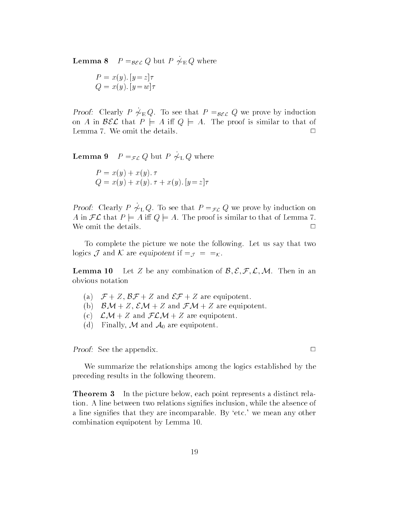**Lemma o**  $I = \beta \mathcal{E} \mathcal{L}$   $\mathcal{Q}$  but  $I = \gamma E \mathcal{Q}$  where

$$
P = x(y) \cdot [y = z] \tau
$$
  

$$
Q = x(y) \cdot [y = w] \tau
$$

**From** Clearly P  $\gamma_{E, Q}$ . To see that  $P = BEL$   $Q$  we prove by induction on A in  $\mathcal{BEL}$  that  $P \models A$  iff  $Q \models A$ . The proof is similar to that of Lemma 7. We omit the details.  $\Box$ 

**Lemma**  $\theta$   $I = \mathcal{F} \mathcal{L}$   $\mathcal{Q}$  but  $I = \mathcal{P} \mathcal{L}$  where

$$
P = x(y) + x(y). \tau
$$
  
 
$$
Q = x(y) + x(y). \tau + x(y). [y = z] \tau
$$

**F** FOOT. Clearly P  $\gamma$   $\mu$   $\alpha$ , To see that  $P = \gamma \mu$   $\alpha$  we prove by induction on A in  $FL$  that  $P \models A$  iff  $Q \models A$ . The proof is similar to that of Lemma 7. We omit the details.  $\Box$ 

To complete the picture we note the following. Let us say that two logics  $\mathcal J$  and  $\mathcal K$  are equipotent if  $\equiv_{\mathcal J} = \equiv_{\mathcal K}$ .

Lemma 10 Let Z be any combination of  $\mathcal{B}, \mathcal{E}, \mathcal{F}, \mathcal{L}, \mathcal{M}$ . Then in an obvious notation

- (a)  $\mathcal{F} + Z$ ,  $\mathcal{BF} + Z$  and  $\mathcal{EF} + Z$  are equipotent.
- (b)  $\mathcal{BM} + Z$ ,  $\mathcal{EM} + Z$  and  $\mathcal{FM} + Z$  are equipotent.
- (c)  $\mathcal{LM} + Z$  and  $\mathcal{FLM} + Z$  are equipotent.
- (d) Finally, M and  $A_0$  are equipotent.

Proof See the appendix.

We summarize the relationships among the logics established by the preceding results in the following theorem

**Theorem 3** In the picture below, each point represents a distinct relation. A line between two relations signifies inclusion, while the absence of a line signifies that they are incomparable. By 'etc.' we mean any other combination equipotent by Lemma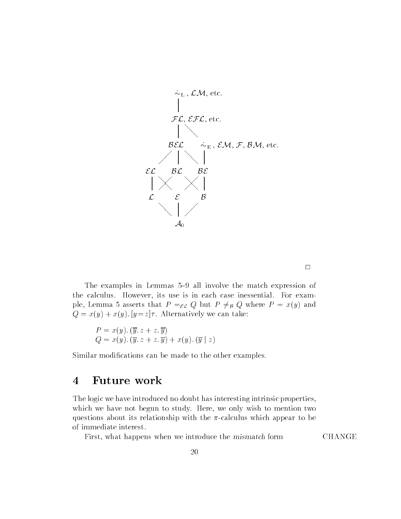

 $\Box$ 

The examples in Lemmas  $5-9$  all involve the match expression of the calculus. However, its use is in each case inessential. For example, Lemma 5 asserts that  $P =_{\varepsilon \mathcal{L}} Q$  but  $P \neq_{\mathcal{B}} Q$  where  $P = x(y)$  and where  $\alpha$  is a straightful we can take the contract of the contract of the contract of the contract of the contract of the contract of the contract of the contract of the contract of the contract of the contract of the co

$$
P = x(y). (\overline{y}. z + z. \overline{y})
$$
  
Q = x(y). (\overline{y}. z + z. \overline{y}) + x(y). (\overline{y} | z)

Similar modifications can be made to the other examples.

# Future work

The logic we have introduced no doubt has interesting intrinsic properties which we have not begun to study. Here, we only wish to mention two questions about its relationship with the  $\pi$ -calculus which appear to be of immediate interest

First, what happens when we introduce the *mismatch* form CHANGE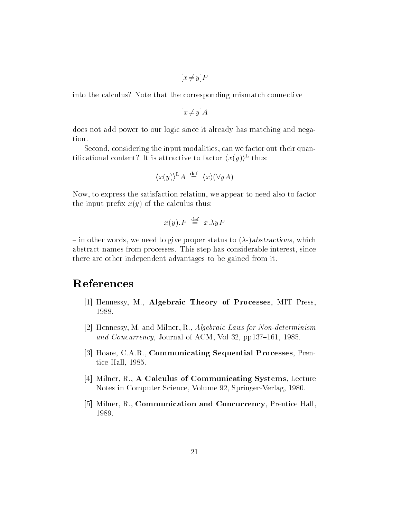$\cdots$   $\cdots$   $\cdots$ 

into the calculus? Note that the corresponding mismatch connective

```
x \rightarrow y \rightarrow z
```
does not add power to our logic since it already has matching and nega tion

Second, considering the input modalities, can we factor out their quantincational content: It is attractive to factor  $\langle x(y) \rangle$  thus:

$$
\langle x(y) \rangle^{\mathcal{L}} A \stackrel{\text{def}}{=} \langle x \rangle (\forall y A)
$$

Now, to express the satisfaction relation, we appear to need also to factor the input prefix  $x(y)$  of the calculus thus:

$$
x(y).P \stackrel{\text{def}}{=} x.\lambda y P
$$

 $\overline{\phantom{a}}$  in other words, we need to give proper status to  $(\lambda)$ -) abstractions, which abstract names from processes. This step has considerable interest, since there are other independent advantages to be gained from it

# References

- Hennessy M Algebraic Theory of Processes MIT Press 1988.
- is a mondeterminism mandate and military and mandate and mandate and mandate and mandate and mandate and manda and Concurrency, Journal of ACM, Vol 32, pp137–161, 1985.
- Hoare CAR Communicating Sequential Processes Pren tice Hall, 1985.
- Milner R A Calculus of Communicating Systems Lecture Notes in Computer Science, Volume 92, Springer-Verlag, 1980.
- $\sim$  , and  $\sim$  , and  $\sim$  . The communication and  $\sim$  concurrency presents and  $\sim$ 1989.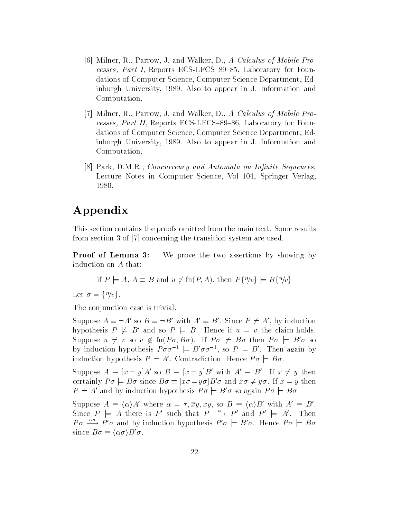- , we are allowed a contract of the Mobile Property of Mobile Property of Mobile Property of Mobile Property and cesses, Part I, Reports ECS-LFCS-89-85, Laboratory for Foundations of Computer Science, Computer Science Department, Edinburgh University, 1989. Also to appear in J. Information and Computation
- Milner R Parrow J and Walker D A Calculus of Mobile Pro cesses, Part II, Reports ECS-LFCS-89-86, Laboratory for Foundations of Computer Science, Computer Science Department, Edinburgh University, 1989. Also to appear in J. Information and Computation
- re reserve the second contract of the sequences of the Sequences of the Sequences of the Sequences of the Sequences Lecture Notes in Computer Science, Vol 104, Springer Verlag, 1980.

# Appendix

This section contains the proofs omitted from the main text. Some results for  $\mathcal{L}$  -transition system are used the transition system are used to transition system are used to the transition system are used to the transition system are used to the transition of  $\mathcal{L}$ 

**Proof of Lemma 3:** We prove the two assertions by showing by induction on A that

if 
$$
P \models A
$$
,  $A \equiv B$  and  $u \notin \text{fn}(P, A)$ , then  $P\{u/v\} \models B\{u/v\}$ 

Let  $\sigma = \{u/v\}.$ 

The conjunction case is trivial

Suppose  $A \equiv \neg A'$  so  $B \equiv \neg B'$  with  $A' \equiv B'$ . Since  $P \not\models A'$ , by induction hypothesis  $P \not\models B'$  and so  $P \models B$ . Hence if  $u = v$  the claim holds. Suppose  $u \neq v$  so  $v \notin \Pi(P\sigma, D\sigma)$ . If  $P\sigma \not\models D\sigma$  then  $P\sigma \models D\sigma$  so by induction hypothesis  $P \sigma \sigma^{-1} = D \sigma \sigma^{-1}$ , so  $P \models D$ . Then again by induction hypothesis  $P \models A'$ . Contradiction. Hence  $P \sigma \models B \sigma$ .

Suppose  $A = |x| = |A|$  so  $B = |x| = |B|$  with  $A = B$ . If  $x \neq y$  then certainly  $I' o \models Do$  since  $Do \equiv x o = y o | Do o$  and  $x o \neq y o$ . If  $x = y$  then  $P \models A'$  and by induction hypothesis  $P\sigma \models B'\sigma$  so again  $P\sigma \models B\sigma$ .

Suppose  $A \equiv \langle \alpha \rangle A'$  where  $\alpha = \tau, \overline{x}y, xy$ , so  $B \equiv \langle \alpha \rangle B'$  with  $A' \equiv B'$ . Since  $P \vDash A$  there is P' such that  $P \rightarrow P'$  and  $P' \vDash A'$ . Then  $P\sigma \stackrel{\alpha\sigma}{\longrightarrow} P'\sigma$  and by induction hypothesis  $P'\sigma \models B'\sigma$ . Hence  $P\sigma \models B\sigma$ since  $B\sigma \equiv \langle \alpha \sigma \rangle B' \sigma$ .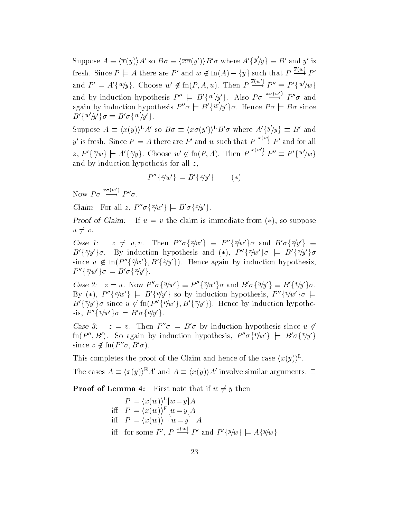Suppose  $A \equiv \langle \overline{x}(y) \rangle A'$  so  $B \sigma \equiv \langle \overline{x} \overline{\sigma}(y') \rangle B' \sigma$  where  $A' \{y \} \psi \} \equiv B'$  and y' is fresh. Since  $P \models A$  there are P' and  $w \notin \text{fn}(A) - \{y\}$  such that  $P \stackrel{\sim \sim}{\rightarrow} P'$ and  $P' \models A'\{w\}$ . Choose  $w' \notin \text{fn}(P, A, u)$ . Then  $P \stackrel{x(w)}{\longrightarrow} P'' \equiv P'\{w'\}$ and by induction hypothesis  $P'' \models B'\{w'\}\mu$ . Also  $P\sigma \stackrel{x\sigma(w)}{\longrightarrow} P''\sigma$  and again by induction hypothesis  $P''\sigma = B'\{w'\}/y'\}\sigma$ . Hence  $P\sigma = B\sigma$  since  $B'\{w\}/w'\{\sigma\equiv B'\sigma\{w\}/w'\}.$ 

Suppose  $A \equiv \langle x(y) \rangle^L A'$  so  $B \sigma \equiv \langle x \sigma(y') \rangle^L B' \sigma$  where  $A' \{y/y\} \equiv B'$  and y' is fresh. Since  $P \models A$  there are P' and w such that  $P \stackrel{\sim}{\longrightarrow} P'$  and for all z,  $P'\{z/w\} \models A'\{z/y\}$ . Choose  $w' \notin \text{fn}(P, A)$ . Then  $P \stackrel{x(w)}{\longrightarrow} P'' \equiv P'\{w'/w\}$ and by induction hypothesis for all  $z$ .

$$
P''\{z/w'\} \models B'\{z/y'\} \qquad (*)
$$

Now  $P\sigma \stackrel{x\sigma(w)}{\longrightarrow} P''\sigma$ .

Claim For an  $z$ ,  $P \theta \left\{z/w \right\} \models D \theta \left\{z/w \right\}$ .

 $P$  roof of Claim  $P$  in  $u = v$  the claim is immediate from  $(\ast)$ , so suppose  $u \neq v$ .

Case 1:  $z \neq u, v$ . Then  $P''\sigma\{z/w'\} \equiv P''\{z/w'\}\sigma$  and  $B'\sigma\{z/y'\} \equiv$  $B'\{z/y'\}\sigma$ . By induction hypothesis and (\*),  $P''\{z/w'\}\sigma = B'\{z/y'\}\sigma$ since  $u \notin \text{Im}(F \{z/w\}, B \{z/y\})$ . Hence again by induction hypothesis,  $P \rightarrow \gamma w \rightarrow \sigma \equiv D \sigma \rightarrow \gamma w \rightarrow$ 

Case 2:  $z = u$ . Now P  $\sigma_1 u / w \nbrace = P \nbrace \{v / w \} \nbrace \sigma$  and  $B \nbrace \sigma_1 u / y \nbrace = B \nbrace \{v / y \} \nbrace \sigma$ .  $\mathsf{D} \vee (\mathscr{F})$ ,  $\mathsf{P} \preceq \vee/\mathsf{W}$   $\uparrow \mathsf{E}$   $\mathsf{D} \preceq \vee/\mathsf{W}$  and  $\uparrow \mathsf{S}$  is the production investments.  $\mathsf{P} \preceq \vee/\mathsf{W}$  and  $\uparrow \mathsf{E}$  $B_f^{V/\gamma}$  fo since  $u \notin \Pi(F \setminus \{v/w\})$ ,  $B_f^{V/\gamma}$  f). Hence by induction hypothesis,  $P''\{v/w'\}\sigma \models B'\sigma\{u/y'\}.$ 

Case 5:  $z = v$ . Then  $P \sigma = B \sigma$  by induction hypothesis since  $u \notin \mathcal{L}$  $\text{fn}(P'', B')$ . So again by induction hypothesis,  $P''\sigma\{v/w'\}\models B'\sigma\{v/y'\}$ since  $v \notin \Pi(P \mid \sigma, D \mid \sigma)$ .

I fils completes the proof of the Claim and hence of the case  $(x(y))$ .

The cases  $A \equiv \langle x(y) \rangle^E A'$  and  $A \equiv \langle x(y) \rangle A'$  involve similar arguments.  $\Box$ 

**Proof of Lemma 4:** First note that if  $w \neq y$  then

$$
P \models \langle x(w) \rangle^{\mathcal{L}} [w = y] A
$$
  
iff 
$$
P \models \langle x(w) \rangle^{\mathcal{E}} [w = y] A
$$
  
iff 
$$
P \models \langle x(w) \rangle \neg [w = y] \neg A
$$
  
iff for some  $P', P \xrightarrow{x(w)} P'$  and  $P' \{y/w\} \models A \{y/w\}$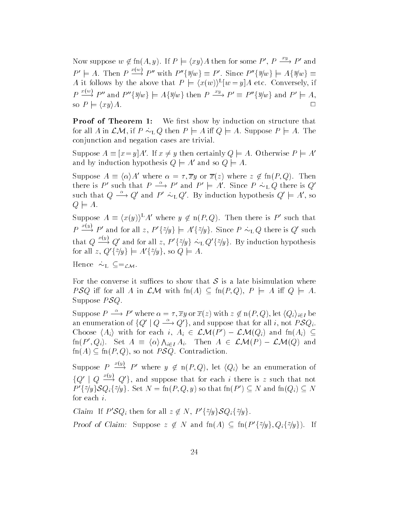Now suppose  $w \notin \text{fn}(A, y)$ . If  $P \models \langle xy \rangle A$  then for some  $P', P \stackrel{\sim}{\longrightarrow} P'$  and  $P' \models A$ . Then  $P \stackrel{\sim}{\rightarrow} P''$  with  $P''\lbrace \exists \psi \psi \rbrace \equiv P'$ . Since  $P''\lbrace \exists \psi \psi \rbrace \models A\lbrace \exists \psi \psi \rbrace \equiv$ A it follows by the above that  $P \vDash (x(w))^-|w = y|A$  etc. Conversely, if  $P \stackrel{\sim}{\longrightarrow} P''$  and  $P''\{y/w\} \models A\{y/w\}$  then  $P \stackrel{\sim}{\longrightarrow} P' \equiv P''\{y/w\}$  and  $P' \models A$ , so  $P \models \langle xy \rangle A$ .  $\Box$ 

Proof of Theorem - We rst show by induction on structure that for all A in LM if P - L <sup>Q</sup> then <sup>P</sup> <sup>j</sup> <sup>A</sup> i <sup>Q</sup> <sup>j</sup> A Suppose <sup>P</sup> <sup>j</sup> A The conjunction and negation cases are trivial

Suppose  $A = |x - y|A$ . If  $x \neq y$  then certainly  $Q \models A$ . Otherwise  $P \models A$ and by induction hypothesis  $Q \models A'$  and so  $Q \models A$ .

Suppose  $A = \langle \alpha \rangle A$  where  $\alpha = \tau, xy$  or  $x(z)$  where  $z \notin \text{Im}(P, Q)$ . Then there is P' such that  $P \longrightarrow P'$  and  $P' \models A'$ . Since  $P \sim_L Q$  there is  $Q'$ such that  $Q \longrightarrow Q'$  and  $P' \sim_L Q'$ . By induction hypothesis  $Q' \models A'$ , so  $Q \models A.$ 

Suppose  $A = (x(y))^T A$  where  $y \notin n(F, Q)$ . Then there is P such that  $P \stackrel{\sim}{\longrightarrow} P'$  and for all z,  $P'\{\tilde{z}/y\} \models A'\{\tilde{z}/y\}$ . Since  $P \sim_L Q$  there is Q' such that  $Q \stackrel{\sim}{\longrightarrow} Q'$  and for all  $z, P'\{\tilde{z}/y\} \sim_L Q'\{\tilde{z}/y\}$ . By induction hypothesis for all z,  $Q'\{z/y\} \models A'\{z/y\}$ , so  $Q \models A$ .

 $\mathbf{H} = \mathbf{L} \mathbf{L} \mathbf{L} \mathbf{V}$ 

For the converse it suffices to show that  $S$  is a late bisimulation where PSQ iff for all A in  $\mathcal{LM}$  with  $\text{fn}(A) \subseteq \text{fn}(P,Q), P \models A$  iff  $Q \models A$ . Suppose  $PSQ$ .

Suppose  $P \longrightarrow P'$  where  $\alpha = \tau, \overline{x}y$  or  $\overline{x}(z)$  with  $z \notin n(P,Q)$ , let  $(Q_i)_{i \in I}$  be an enumeration of  $\{Q' \mid Q \stackrel{\alpha}{\longrightarrow} Q'\}$ , and suppose that for all i, not  $PSQ_i$ . Choose  $\langle A_i \rangle$  with for each  $i, A_i \in L$ M $(P) - L$ M $(Q_i)$  and  $m(A_i) \subseteq$  $\text{fn}(P', Q_i)$ . Set  $A \equiv \langle \alpha \rangle \bigwedge_{i \in I} A_i$ . Then  $A \in \mathcal{LM}(P) - \mathcal{LM}(Q)$  and  $fn(A) \subseteq fn(P,Q)$ , so not  $PSQ$ . Contradiction.

Suppose  $P \stackrel{\sim}{\longrightarrow} P'$  where  $y \notin \text{n}(P,Q)$ , let  $\langle Q_i \rangle$  be an enumeration of  ${Q' | Q \longrightarrow Q' }$ , and suppose that for each i there is z such that not  $P'\{z/y\} \mathcal{S} Q_i\{z/y\}$ . Set  $N = \text{fn}(P, Q, y)$  so that  $\text{fn}(P') \subseteq N$  and  $\text{fn}(Q_i) \subseteq N$ for each  $i$ .

Claim If  $P \mathcal{S} Q_i$  then for all  $z \notin N$ ,  $P \{\gamma y \} \mathcal{S} Q_i \{\gamma y \}$ .

Proof of Claim: Suppose  $z \notin N$  and  $m(A) \subseteq m(P \{z/y\}, Q_i \{z/y\})$ . If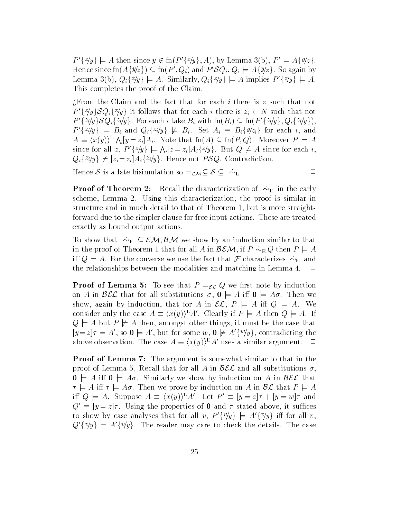$P_1^{\otimes n} \neq P_2^{\otimes n} \neq P_3^{\otimes n} \neq P_4^{\otimes n} \neq P_5^{\otimes n} \neq P_6^{\otimes n} \neq P_7^{\otimes n} \neq P_7^{\otimes n} \neq P_7^{\otimes n} \neq P_7^{\otimes n} \neq P_7^{\otimes n} \neq P_7^{\otimes n} \neq P_7^{\otimes n} \neq P_7^{\otimes n} \neq P_7^{\otimes n} \neq P_7^{\otimes n} \neq P_7^{\otimes n} \neq P_7^{\otimes n} \neq P_7^$ Hence since  $\text{fn}(A\{y|z\}) \subseteq \text{fn}(P', Q_i)$  and  $P'SQ_i, Q_i \models A\{y|z\}$ . So again by Lemma 3(b),  $Q_i\{z/y\} \models A$ . Similarly,  $Q_i\{z/y\} \models A$  implies  $P'\{z/y\} \models A$ . This completes the proof of the Claim

 $i$ From the Claim and the fact that for each i there is z such that not P  $\{\gamma y\} \delta Q_i \{\gamma y\}$  it follows that for each it there is  $z_i \in N$  such that not  $P'\{z_i/y\} \mathcal{S} Q_i\{z_i/y\}$ . For each i take  $B_i$  with  $\text{fn}(B_i) \subseteq \text{fn}(P'\{z_i/y\}, Q_i\{z_i/y\}),$  $P'\{z_i/y\} \models B_i$  and  $Q_i\{z_i/y\} \not\models B_i$ . Set  $A_i \equiv B_i\{y/z_i\}$  for each i, and  $A \equiv \langle x(y) \rangle^{\mathsf{L}} \bigwedge_i |y=z_i| A_i$ . Note that  $\text{fn}(A) \subseteq \text{fn}(P,Q)$ . Moreover  $P \models A$ since for all z,  $P'\{\hat{z}/y\} \models \Lambda_i[z] = I$ .  $i|z-z_i|A_i$   $\gamma$  if  $\alpha$  but  $\gamma$   $\mu$  as since for each i,  $Q_i$ <sup>rig</sup> ( $\mu$  | $z_i$  - $z_i$ | $A_i$ <sup>-qg</sup> (. Hence not *I*  $QQ$ . Contradiction.

Hence  $\bullet$  is a later bisimulation so  $\mathcal{L}/\mathcal{N}$  -  $\bullet$  -  $\bullet$  -  $\bullet$  -  $\bullet$  -  $\bullet$  -  $\bullet$  -  $\bullet$  -  $\bullet$  -  $\bullet$  -  $\bullet$  -  $\bullet$  -  $\bullet$  -  $\bullet$  -  $\bullet$  -  $\bullet$  -  $\bullet$  -  $\bullet$  -  $\bullet$  -  $\bullet$  -  $\bullet$  -  $\bullet$  -  $\bullet$  -  $\bullet$  -  $\bullet$ 

Proof of Theorem Recall the characterization of - E in the early scheme, Lemma 2. Using this characterization, the proof is similar in structure and in much detail to that of Theorem 1, but is more straightforward due to the simpler clause for free input actions. These are treated exactly as bound output actions

To show that  $\Gamma$  is that induction similar to that induction similar to that induction similar to that is that is not the similar to that is not the similar to that is not the similar to that is not the similar to that i in the proof of Theorem I in Bell A in BEM if  $\mathbf{v} \bullet \mathbf{v}$  in Bell A in Bell A in Bell A in Bell A in Bell i Q <sup>j</sup> A For the converse we use the fact that <sup>F</sup> characterizes - E and the relationships between the modalities and matching in Lemma 4.  $\Box$ 

**Proof of Lemma 5:** To see that  $P = \varepsilon \mathcal{L}$  Q we first note by induction on A in  $\mathcal{B}\mathcal{E}\mathcal{L}$  that for all substitutions  $\sigma$ ,  $\mathbf{0} \models A$  iff  $\mathbf{0} \models A\sigma$ . Then we show, again by induction, that for A in  $\mathcal{EL}, P \models A$  iff  $Q \models A$ . We consider only the case  $A \equiv \langle x(y) \rangle^{\mathbf{L}} A'$ . Clearly if  $P \models A$  then  $Q \models A$ . If  $Q \models A$  but  $P \not\models A$  then, amongst other things, it must be the case that  $|y = z|\tau| = A$ , so  $\mathbf{v} \in A$ , but for some w,  $\mathbf{v} \not\equiv A \{^w/y\}$ , contradicting the above observation. The case  $A \equiv \langle x(y) \rangle^E A'$  uses a similar argument.  $\Box$ 

**Proof of Lemma 7:** The argument is somewhat similar to that in the proof of Lemma 5. Recall that for all A in  $\mathcal{BEL}$  and all substitutions  $\sigma$ .  $\mathbf{0} \models A$  iff  $\mathbf{0} \models A\sigma$ . Similarly we show by induction on A in  $\mathcal{B}\mathcal{E}\mathcal{L}$  that  $\tau \models A$  iff  $\tau \models A\sigma$ . Then we prove by induction on A in  $\mathcal{BL}$  that  $P \models A$ in  $Q \vDash A$ . Suppose  $A = (x(y))$   $A$ . Let  $P = |y| = |x|$   $\gamma + |y| = w$  and  $Q = |y| = z/\tau$ . Using the properties of **U** and  $\tau$  stated above, it sumces to show by case analyses that for all v,  $P'\{v/y\}$  =  $A'\{v/y\}$  iff for all v,  $Q'\{v/y\}$  =  $A'\{v/y\}$ . The reader may care to check the details. The case